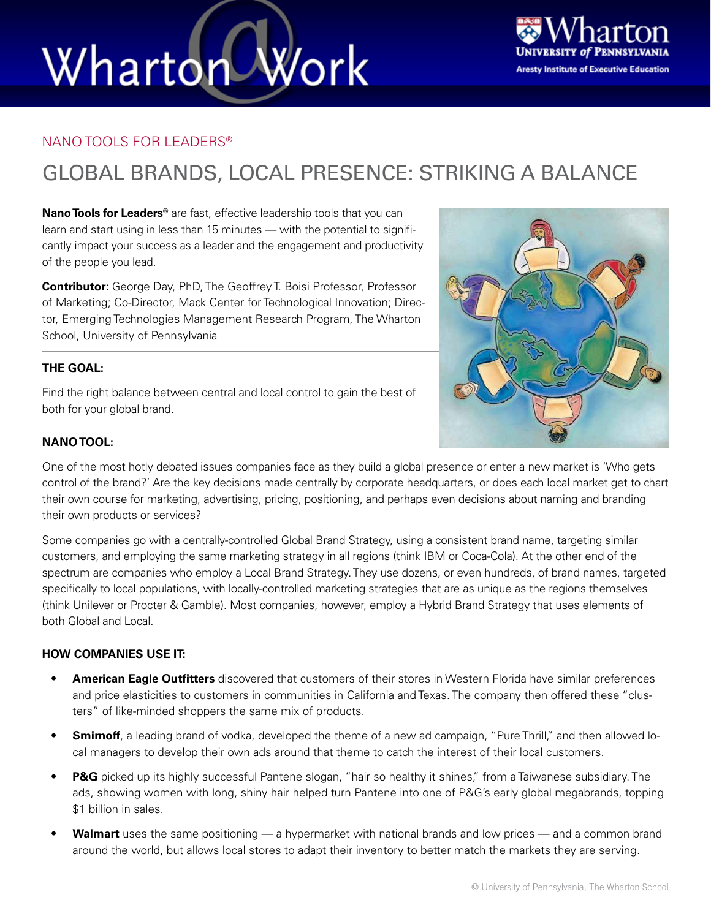# Wharton Work



### NANO TOOLS FOR LEADERS®

### GLOBAL BRANDS, LOCAL PRESENCE: STRIKING A BALANCE

**Nano Tools for Leaders®** are fast, effective leadership tools that you can learn and start using in less than 15 minutes — with the potential to significantly impact your success as a leader and the engagement and productivity of the people you lead.

**Contributor:** George Day, PhD, The Geoffrey T. Boisi Professor, Professor of Marketing; Co-Director, Mack Center for Technological Innovation; Director, Emerging Technologies Management Research Program, The Wharton School, University of Pennsylvania

### **THE GOAL:**

Find the right balance between central and local control to gain the best of both for your global brand.



### **NANO TOOL:**

One of the most hotly debated issues companies face as they build a global presence or enter a new market is 'Who gets control of the brand?' Are the key decisions made centrally by corporate headquarters, or does each local market get to chart their own course for marketing, advertising, pricing, positioning, and perhaps even decisions about naming and branding their own products or services?

Some companies go with a centrally-controlled Global Brand Strategy, using a consistent brand name, targeting similar customers, and employing the same marketing strategy in all regions (think IBM or Coca-Cola). At the other end of the spectrum are companies who employ a Local Brand Strategy. They use dozens, or even hundreds, of brand names, targeted specifically to local populations, with locally-controlled marketing strategies that are as unique as the regions themselves (think Unilever or Procter & Gamble). Most companies, however, employ a Hybrid Brand Strategy that uses elements of both Global and Local.

### **HOW COMPANIES USE IT:**

- **• American Eagle Outfitters** discovered that customers of their stores in Western Florida have similar preferences and price elasticities to customers in communities in California and Texas. The company then offered these "clusters" of like-minded shoppers the same mix of products.
- **• Smirnoff**, a leading brand of vodka, developed the theme of a new ad campaign, "Pure Thrill," and then allowed local managers to develop their own ads around that theme to catch the interest of their local customers.
- **• P&G** picked up its highly successful Pantene slogan, "hair so healthy it shines," from a Taiwanese subsidiary. The ads, showing women with long, shiny hair helped turn Pantene into one of P&G's early global megabrands, topping \$1 billion in sales.
- **• Walmart** uses the same positioning a hypermarket with national brands and low prices and a common brand around the world, but allows local stores to adapt their inventory to better match the markets they are serving.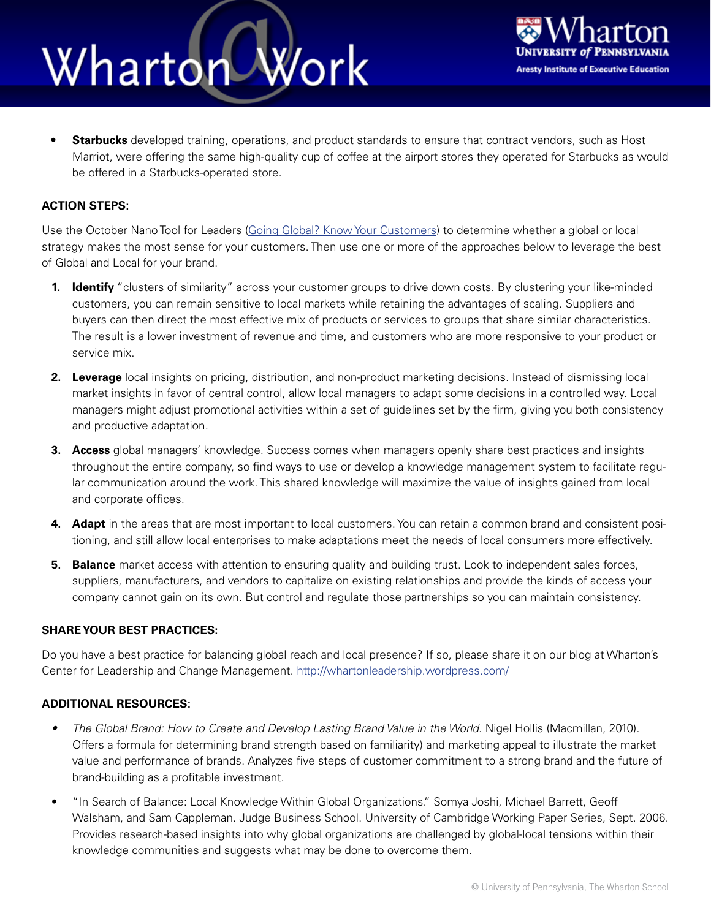### Work Wharton



**• Starbucks** developed training, operations, and product standards to ensure that contract vendors, such as Host Marriot, were offering the same high-quality cup of coffee at the airport stores they operated for Starbucks as would be offered in a Starbucks-operated store.

### **ACTION STEPS:**

Use the October Nano Tool for Leaders ([Going Global? Know Your Customers](http://executiveeducation.wharton.upenn.edu/wharton-at-work/1210/going-global-1210.cfm)) to determine whether a global or local strategy makes the most sense for your customers. Then use one or more of the approaches below to leverage the best of Global and Local for your brand.

- **1. Identify** "clusters of similarity" across your customer groups to drive down costs. By clustering your like-minded customers, you can remain sensitive to local markets while retaining the advantages of scaling. Suppliers and buyers can then direct the most effective mix of products or services to groups that share similar characteristics. The result is a lower investment of revenue and time, and customers who are more responsive to your product or service mix.
- **2. Leverage** local insights on pricing, distribution, and non-product marketing decisions. Instead of dismissing local market insights in favor of central control, allow local managers to adapt some decisions in a controlled way. Local managers might adjust promotional activities within a set of guidelines set by the firm, giving you both consistency and productive adaptation.
- **3. Access** global managers' knowledge. Success comes when managers openly share best practices and insights throughout the entire company, so find ways to use or develop a knowledge management system to facilitate regular communication around the work. This shared knowledge will maximize the value of insights gained from local and corporate offices.
- **4. Adapt** in the areas that are most important to local customers. You can retain a common brand and consistent positioning, and still allow local enterprises to make adaptations meet the needs of local consumers more effectively.
- **5. Balance** market access with attention to ensuring quality and building trust. Look to independent sales forces, suppliers, manufacturers, and vendors to capitalize on existing relationships and provide the kinds of access your company cannot gain on its own. But control and regulate those partnerships so you can maintain consistency.

#### **SHARE YOUR BEST PRACTICES:**

Do you have a best practice for balancing global reach and local presence? If so, please share it on our blog at Wharton's Center for Leadership and Change Management. <http://whartonleadership.wordpress.com/>

#### **ADDITIONAL RESOURCES:**

- The Global Brand: How to Create and Develop Lasting Brand Value in the World. Nigel Hollis (Macmillan, 2010). Offers a formula for determining brand strength based on familiarity) and marketing appeal to illustrate the market value and performance of brands. Analyzes five steps of customer commitment to a strong brand and the future of brand-building as a profitable investment.
- "In Search of Balance: Local Knowledge Within Global Organizations." Somya Joshi, Michael Barrett, Geoff Walsham, and Sam Cappleman. Judge Business School. University of Cambridge Working Paper Series, Sept. 2006. Provides research-based insights into why global organizations are challenged by global-local tensions within their knowledge communities and suggests what may be done to overcome them.